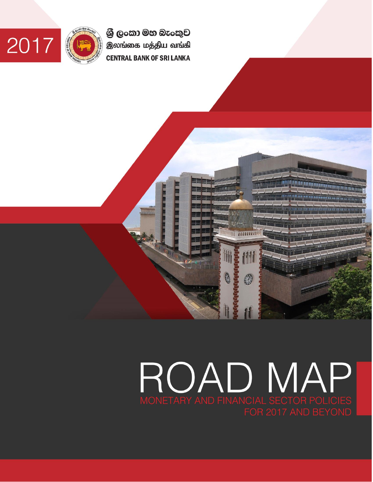ශුී ලංකා මහ බැංකුව இலங்கை மத்திய வங்கி **CENTRAL BANK OF SRI LANKA** 





# MONETARY AND FINANCIAL SECTOR POLICIES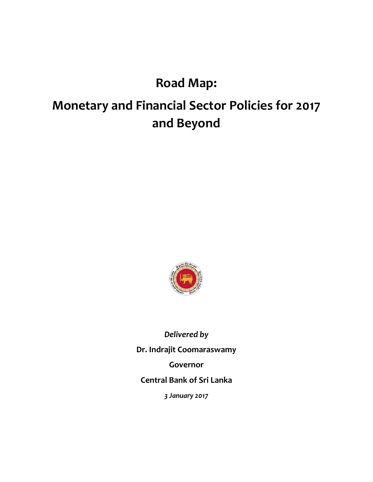## **Road Map:**

# **Monetary and Financial Sector Policies for 2017 and Beyond**



*Delivered by* **Dr. Indrajit Coomaraswamy Governor Central Bank of Sri Lanka** *3 January 2017*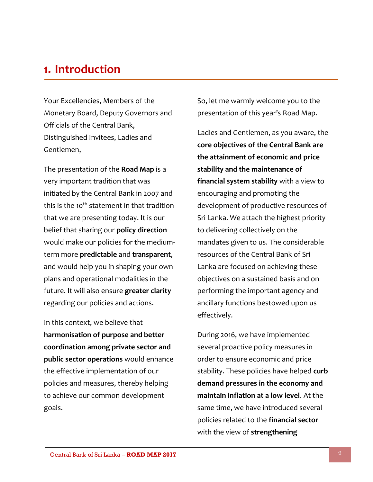## **1. Introduction**

Your Excellencies, Members of the Monetary Board, Deputy Governors and Officials of the Central Bank, Distinguished Invitees, Ladies and Gentlemen,

The presentation of the **Road Map** is a very important tradition that was initiated by the Central Bank in 2007 and this is the 10<sup>th</sup> statement in that tradition that we are presenting today. It is our belief that sharing our **policy direction** would make our policies for the mediumterm more **predictable** and **transparent**, and would help you in shaping your own plans and operational modalities in the future. It will also ensure **greater clarity** regarding our policies and actions.

In this context, we believe that **harmonisation of purpose and better coordination among private sector and public sector operations** would enhance the effective implementation of our policies and measures, thereby helping to achieve our common development goals.

So, let me warmly welcome you to the presentation of this year's Road Map.

Ladies and Gentlemen, as you aware, the **core objectives of the Central Bank are the attainment of economic and price stability and the maintenance of financial system stability** with a view to encouraging and promoting the development of productive resources of Sri Lanka. We attach the highest priority to delivering collectively on the mandates given to us. The considerable resources of the Central Bank of Sri Lanka are focused on achieving these objectives on a sustained basis and on performing the important agency and ancillary functions bestowed upon us effectively.

During 2016, we have implemented several proactive policy measures in order to ensure economic and price stability. These policies have helped **curb demand pressures in the economy and maintain inflation at a low level**. At the same time, we have introduced several policies related to the **financial sector** with the view of **strengthening**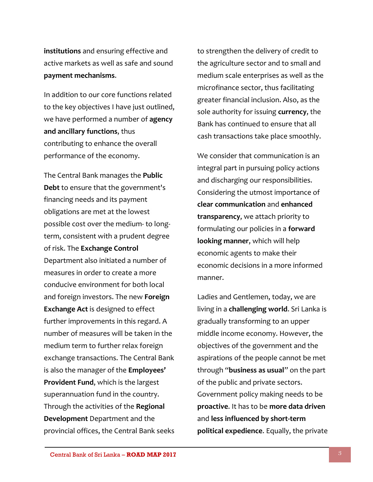**institutions** and ensuring effective and active markets as well as safe and sound **payment mechanisms**.

In addition to our core functions related to the key objectives I have just outlined, we have performed a number of **agency and ancillary functions**, thus contributing to enhance the overall performance of the economy.

The Central Bank manages the **Public Debt** to ensure that the government's financing needs and its payment obligations are met at the lowest possible cost over the medium- to longterm, consistent with a prudent degree of risk. The **Exchange Control** Department also initiated a number of measures in order to create a more conducive environment for both local and foreign investors. The new **Foreign Exchange Act** is designed to effect further improvements in this regard. A number of measures will be taken in the medium term to further relax foreign exchange transactions. The Central Bank is also the manager of the **Employees' Provident Fund**, which is the largest superannuation fund in the country. Through the activities of the **Regional Development** Department and the provincial offices, the Central Bank seeks to strengthen the delivery of credit to the agriculture sector and to small and medium scale enterprises as well as the microfinance sector, thus facilitating greater financial inclusion. Also, as the sole authority for issuing **currency**, the Bank has continued to ensure that all cash transactions take place smoothly.

We consider that communication is an integral part in pursuing policy actions and discharging our responsibilities. Considering the utmost importance of **clear communication** and **enhanced transparency**, we attach priority to formulating our policies in a **forward looking manner**, which will help economic agents to make their economic decisions in a more informed manner.

Ladies and Gentlemen, today, we are living in a **challenging world**. Sri Lanka is gradually transforming to an upper middle income economy. However, the objectives of the government and the aspirations of the people cannot be met through "**business as usual**" on the part of the public and private sectors. Government policy making needs to be **proactive**. It has to be **more data driven** and **less influenced by short-term political expedience**. Equally, the private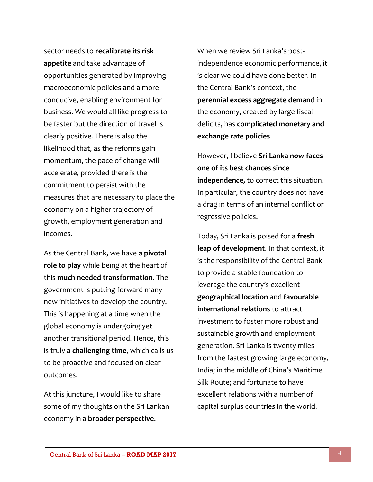sector needs to **recalibrate its risk appetite** and take advantage of opportunities generated by improving macroeconomic policies and a more conducive, enabling environment for business. We would all like progress to be faster but the direction of travel is clearly positive. There is also the likelihood that, as the reforms gain momentum, the pace of change will accelerate, provided there is the commitment to persist with the measures that are necessary to place the economy on a higher trajectory of growth, employment generation and incomes.

As the Central Bank, we have **a pivotal role to play** while being at the heart of this **much needed transformation**. The government is putting forward many new initiatives to develop the country. This is happening at a time when the global economy is undergoing yet another transitional period. Hence, this is truly **a challenging time**, which calls us to be proactive and focused on clear outcomes.

At this juncture, I would like to share some of my thoughts on the Sri Lankan economy in a **broader perspective**.

When we review Sri Lanka's postindependence economic performance, it is clear we could have done better. In the Central Bank's context, the **perennial excess aggregate demand** in the economy, created by large fiscal deficits, has **complicated monetary and exchange rate policies**.

However, I believe **Sri Lanka now faces one of its best chances since independence,** to correct this situation. In particular, the country does not have a drag in terms of an internal conflict or regressive policies.

Today, Sri Lanka is poised for a **fresh leap of development**. In that context, it is the responsibility of the Central Bank to provide a stable foundation to leverage the country's excellent **geographical location** and **favourable international relations** to attract investment to foster more robust and sustainable growth and employment generation. Sri Lanka is twenty miles from the fastest growing large economy, India; in the middle of China's Maritime Silk Route; and fortunate to have excellent relations with a number of capital surplus countries in the world.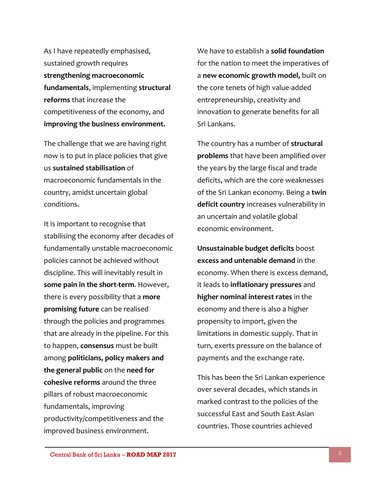As I have repeatedly emphasised, sustained growth requires **strengthening macroeconomic fundamentals**, implementing **structural reforms** that increase the competitiveness of the economy, and **improving the business environment.** 

The challenge that we are having right now is to put in place policies that give us **sustained stabilisation** of macroeconomic fundamentals in the country, amidst uncertain global conditions.

It is important to recognise that stabilising the economy after decades of fundamentally unstable macroeconomic policies cannot be achieved without discipline. This will inevitably result in **some pain in the short-term**. However, there is every possibility that a **more promising future** can be realised through the policies and programmes that are already in the pipeline. For this to happen, **consensus** must be built among **politicians, policy makers and the general public** on the **need for cohesive reforms** around the three pillars of robust macroeconomic fundamentals, improving productivity/competitiveness and the improved business environment.

We have to establish a **solid foundation** for the nation to meet the imperatives of a **new economic growth model,** built on the core tenets of high value-added entrepreneurship, creativity and innovation to generate benefits for all Sri Lankans.

The country has a number of **structural problems** that have been amplified over the years by the large fiscal and trade deficits, which are the core weaknesses of the Sri Lankan economy. Being a **twin deficit country** increases vulnerability in an uncertain and volatile global economic environment.

**Unsustainable budget deficits** boost **excess and untenable demand** in the economy. When there is excess demand, it leads to **inflationary pressures** and **higher nominal interest rates** in the economy and there is also a higher propensity to import, given the limitations in domestic supply. That in turn, exerts pressure on the balance of payments and the exchange rate.

This has been the Sri Lankan experience over several decades, which stands in marked contrast to the policies of the successful East and South East Asian countries. Those countries achieved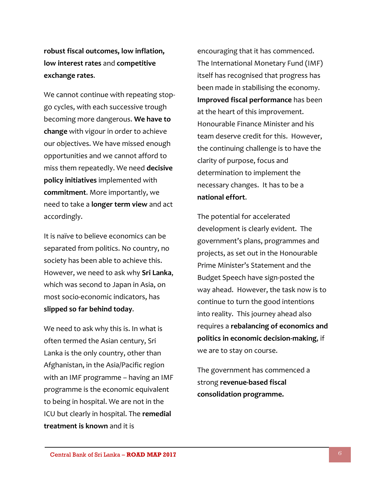**robust fiscal outcomes, low inflation, low interest rates** and **competitive exchange rates**.

We cannot continue with repeating stopgo cycles, with each successive trough becoming more dangerous. **We have to change** with vigour in order to achieve our objectives. We have missed enough opportunities and we cannot afford to miss them repeatedly. We need **decisive policy initiatives** implemented with **commitment**. More importantly, we need to take a **longer term view** and act accordingly.

It is naïve to believe economics can be separated from politics. No country, no society has been able to achieve this. However, we need to ask why **Sri Lanka**, which was second to Japan in Asia, on most socio-economic indicators, has **slipped so far behind today**.

We need to ask why this is. In what is often termed the Asian century, Sri Lanka is the only country, other than Afghanistan, in the Asia/Pacific region with an IMF programme – having an IMF programme is the economic equivalent to being in hospital. We are not in the ICU but clearly in hospital. The **remedial treatment is known** and it is

encouraging that it has commenced. The International Monetary Fund (IMF) itself has recognised that progress has been made in stabilising the economy. **Improved fiscal performance** has been at the heart of this improvement. Honourable Finance Minister and his team deserve credit for this. However, the continuing challenge is to have the clarity of purpose, focus and determination to implement the necessary changes. It has to be a **national effort**.

The potential for accelerated development is clearly evident. The government's plans, programmes and projects, as set out in the Honourable Prime Minister's Statement and the Budget Speech have sign-posted the way ahead. However, the task now is to continue to turn the good intentions into reality. This journey ahead also requires a **rebalancing of economics and politics in economic decision-making**, if we are to stay on course.

The government has commenced a strong **revenue-based fiscal consolidation programme.**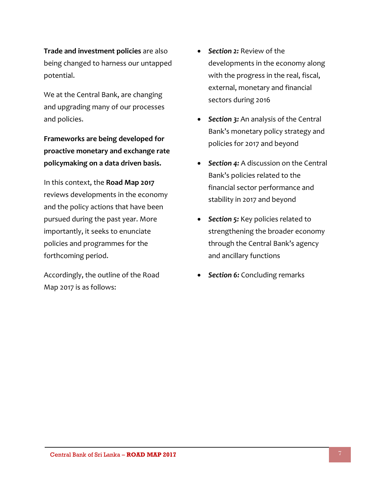**Trade and investment policies** are also being changed to harness our untapped potential.

We at the Central Bank, are changing and upgrading many of our processes and policies.

**Frameworks are being developed for proactive monetary and exchange rate policymaking on a data driven basis.**

In this context, the **Road Map 2017** reviews developments in the economy and the policy actions that have been pursued during the past year. More importantly, it seeks to enunciate policies and programmes for the forthcoming period.

Accordingly, the outline of the Road Map 2017 is as follows:

- *Section 2:* Review of the developments in the economy along with the progress in the real, fiscal, external, monetary and financial sectors during 2016
- **Section 3:** An analysis of the Central Bank's monetary policy strategy and policies for 2017 and beyond
- *Section 4:* A discussion on the Central Bank's policies related to the financial sector performance and stability in 2017 and beyond
- **Section 5:** Key policies related to strengthening the broader economy through the Central Bank's agency and ancillary functions
- *Section 6:* Concluding remarks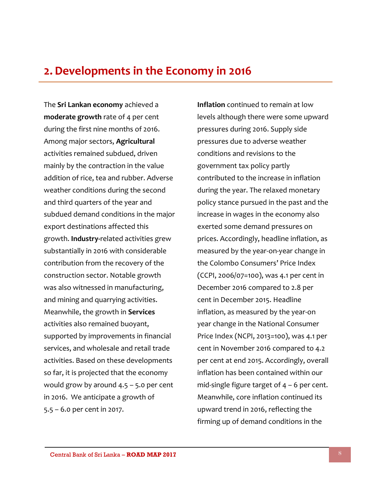### **2. Developments in the Economy in 2016**

The **Sri Lankan economy** achieved a **moderate growth** rate of 4 per cent during the first nine months of 2016. Among major sectors, **Agricultural**  activities remained subdued, driven mainly by the contraction in the value addition of rice, tea and rubber. Adverse weather conditions during the second and third quarters of the year and subdued demand conditions in the major export destinations affected this growth. **Industry-**related activities grew substantially in 2016 with considerable contribution from the recovery of the construction sector. Notable growth was also witnessed in manufacturing, and mining and quarrying activities. Meanwhile, the growth in **Services**  activities also remained buoyant, supported by improvements in financial services, and wholesale and retail trade activities. Based on these developments so far, it is projected that the economy would grow by around 4.5 – 5.0 per cent in 2016. We anticipate a growth of 5.5 – 6.0 per cent in 2017.

**Inflation** continued to remain at low levels although there were some upward pressures during 2016. Supply side pressures due to adverse weather conditions and revisions to the government tax policy partly contributed to the increase in inflation during the year. The relaxed monetary policy stance pursued in the past and the increase in wages in the economy also exerted some demand pressures on prices. Accordingly, headline inflation, as measured by the year-on-year change in the Colombo Consumers' Price Index (CCPI, 2006/07=100), was 4.1 per cent in December 2016 compared to 2.8 per cent in December 2015. Headline inflation, as measured by the year-on year change in the National Consumer Price Index (NCPI, 2013=100), was 4.1 per cent in November 2016 compared to 4.2 per cent at end 2015. Accordingly, overall inflation has been contained within our mid-single figure target of  $4 - 6$  per cent. Meanwhile, core inflation continued its upward trend in 2016, reflecting the firming up of demand conditions in the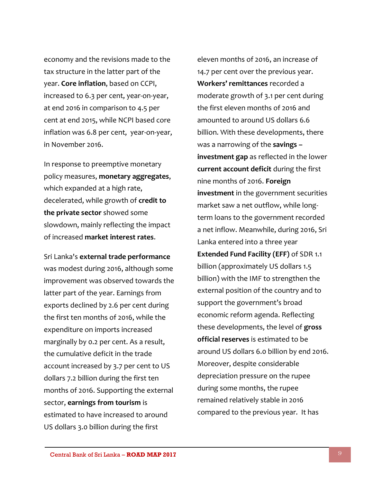economy and the revisions made to the tax structure in the latter part of the year. **Core inflation**, based on CCPI, increased to 6.3 per cent, year-on-year, at end 2016 in comparison to 4.5 per cent at end 2015, while NCPI based core inflation was 6.8 per cent, year-on-year, in November 2016.

In response to preemptive monetary policy measures, **monetary aggregates**, which expanded at a high rate, decelerated, while growth of **credit to the private sector** showed some slowdown, mainly reflecting the impact of increased **market interest rates**.

Sri Lanka's **external trade performance** was modest during 2016, although some improvement was observed towards the latter part of the year. Earnings from exports declined by 2.6 per cent during the first ten months of 2016, while the expenditure on imports increased marginally by 0.2 per cent. As a result, the cumulative deficit in the trade account increased by 3.7 per cent to US dollars 7.2 billion during the first ten months of 2016. Supporting the external sector, **earnings from tourism** is estimated to have increased to around US dollars 3.0 billion during the first

eleven months of 2016, an increase of 14.7 per cent over the previous year. **Workers' remittances** recorded a moderate growth of 3.1 per cent during the first eleven months of 2016 and amounted to around US dollars 6.6 billion. With these developments, there was a narrowing of the **savings – investment gap** as reflected in the lower **current account deficit** during the first nine months of 2016. **Foreign investment** in the government securities market saw a net outflow, while longterm loans to the government recorded a net inflow. Meanwhile, during 2016, Sri Lanka entered into a three year **Extended Fund Facility (EFF)** of SDR 1.1 billion (approximately US dollars 1.5 billion) with the IMF to strengthen the external position of the country and to support the government's broad economic reform agenda. Reflecting these developments, the level of **gross official reserves** is estimated to be around US dollars 6.0 billion by end 2016. Moreover, despite considerable depreciation pressure on the rupee during some months, the rupee remained relatively stable in 2016 compared to the previous year. It has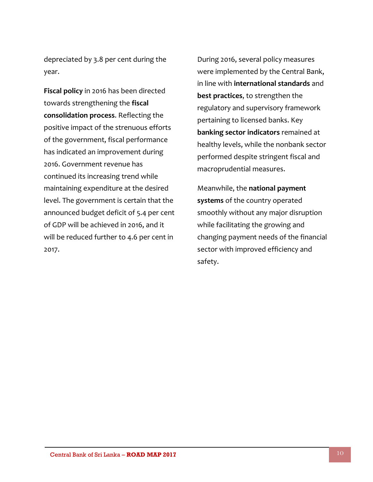depreciated by 3.8 per cent during the year.

**Fiscal policy** in 2016 has been directed towards strengthening the **fiscal consolidation process**. Reflecting the positive impact of the strenuous efforts of the government, fiscal performance has indicated an improvement during 2016. Government revenue has continued its increasing trend while maintaining expenditure at the desired level. The government is certain that the announced budget deficit of 5.4 per cent of GDP will be achieved in 2016, and it will be reduced further to 4.6 per cent in 2017.

During 2016, several policy measures were implemented by the Central Bank, in line with **international standards** and **best practices**, to strengthen the regulatory and supervisory framework pertaining to licensed banks. Key **banking sector indicators** remained at healthy levels, while the nonbank sector performed despite stringent fiscal and macroprudential measures.

Meanwhile, the **national payment systems** of the country operated smoothly without any major disruption while facilitating the growing and changing payment needs of the financial sector with improved efficiency and safety.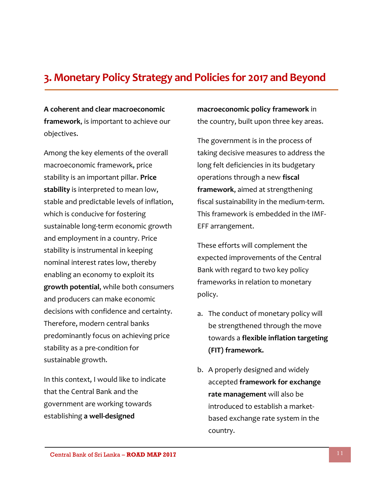#### **3. Monetary Policy Strategy and Policies for 2017 and Beyond**

**A coherent and clear macroeconomic framework**, is important to achieve our objectives.

Among the key elements of the overall macroeconomic framework, price stability is an important pillar. **Price stability** is interpreted to mean low, stable and predictable levels of inflation, which is conducive for fostering sustainable long-term economic growth and employment in a country. Price stability is instrumental in keeping nominal interest rates low, thereby enabling an economy to exploit its **growth potential**, while both consumers and producers can make economic decisions with confidence and certainty. Therefore, modern central banks predominantly focus on achieving price stability as a pre-condition for sustainable growth.

In this context, I would like to indicate that the Central Bank and the government are working towards establishing **a well-designed** 

**macroeconomic policy framework** in the country, built upon three key areas.

The government is in the process of taking decisive measures to address the long felt deficiencies in its budgetary operations through a new **fiscal framework**, aimed at strengthening fiscal sustainability in the medium-term. This framework is embedded in the IMF-EFF arrangement.

These efforts will complement the expected improvements of the Central Bank with regard to two key policy frameworks in relation to monetary policy.

- a. The conduct of monetary policy will be strengthened through the move towards a **flexible inflation targeting (FIT) framework.**
- b. A properly designed and widely accepted **framework for exchange rate management** will also be introduced to establish a marketbased exchange rate system in the country.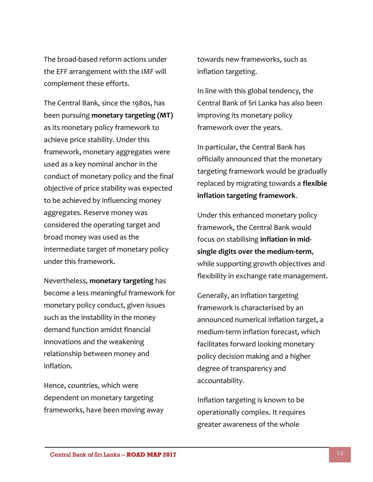The broad-based reform actions under the EFF arrangement with the IMF will complement these efforts.

The Central Bank, since the 1980s, has been pursuing **monetary targeting (MT)** as its monetary policy framework to achieve price stability. Under this framework, monetary aggregates were used as a key nominal anchor in the conduct of monetary policy and the final objective of price stability was expected to be achieved by influencing money aggregates. Reserve money was considered the operating target and broad money was used as the intermediate target of monetary policy under this framework.

Nevertheless, **monetary targeting** has become a less meaningful framework for monetary policy conduct, given issues such as the instability in the money demand function amidst financial innovations and the weakening relationship between money and inflation.

Hence, countries, which were dependent on monetary targeting frameworks, have been moving away towards new frameworks, such as inflation targeting.

In line with this global tendency, the Central Bank of Sri Lanka has also been improving its monetary policy framework over the years.

In particular, the Central Bank has officially announced that the monetary targeting framework would be gradually replaced by migrating towards a **flexible inflation targeting framework**.

Under this enhanced monetary policy framework, the Central Bank would focus on stabilising **inflation in midsingle digits over the medium-term**, while supporting growth objectives and flexibility in exchange rate management.

Generally, an inflation targeting framework is characterised by an announced numerical inflation target, a medium-term inflation forecast, which facilitates forward looking monetary policy decision making and a higher degree of transparency and accountability.

Inflation targeting is known to be operationally complex. It requires greater awareness of the whole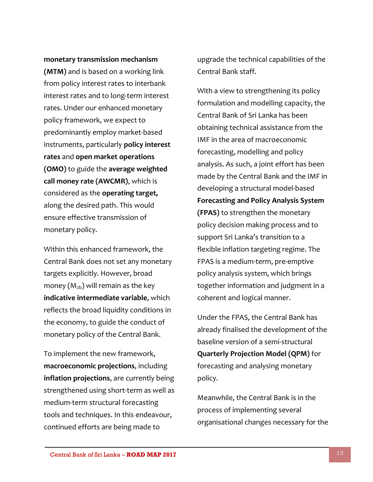#### **monetary transmission mechanism**

**(MTM)** and is based on a working link from policy interest rates to interbank interest rates and to long-term interest rates. Under our enhanced monetary policy framework, we expect to predominantly employ market-based instruments, particularly **policy interest rates** and **open market operations (OMO)** to guide the **average weighted call money rate (AWCMR)**, which is considered as the **operating target,**  along the desired path. This would ensure effective transmission of monetary policy.

Within this enhanced framework, the Central Bank does not set any monetary targets explicitly. However, broad money  $(M_{2b})$  will remain as the key **indicative intermediate variable**, which reflects the broad liquidity conditions in the economy, to guide the conduct of monetary policy of the Central Bank.

To implement the new framework, **macroeconomic projections**, including **inflation projections**, are currently being strengthened using short-term as well as medium-term structural forecasting tools and techniques. In this endeavour, continued efforts are being made to

upgrade the technical capabilities of the Central Bank staff.

With a view to strengthening its policy formulation and modelling capacity, the Central Bank of Sri Lanka has been obtaining technical assistance from the IMF in the area of macroeconomic forecasting, modelling and policy analysis. As such, a joint effort has been made by the Central Bank and the IMF in developing a structural model-based **Forecasting and Policy Analysis System (FPAS)** to strengthen the monetary policy decision making process and to support Sri Lanka's transition to a flexible inflation targeting regime. The FPAS is a medium-term, pre-emptive policy analysis system, which brings together information and judgment in a coherent and logical manner.

Under the FPAS, the Central Bank has already finalised the development of the baseline version of a semi-structural **Quarterly Projection Model (QPM)** for forecasting and analysing monetary policy.

Meanwhile, the Central Bank is in the process of implementing several organisational changes necessary for the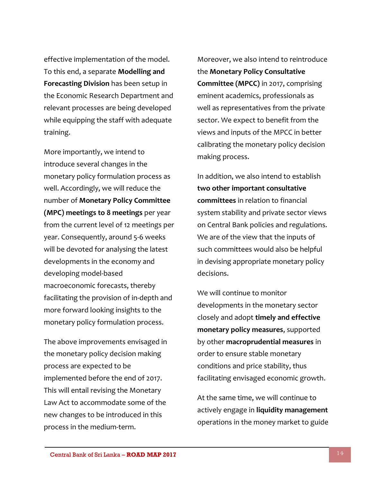effective implementation of the model. To this end, a separate **Modelling and Forecasting Division** has been setup in the Economic Research Department and relevant processes are being developed while equipping the staff with adequate training.

More importantly, we intend to introduce several changes in the monetary policy formulation process as well. Accordingly, we will reduce the number of **Monetary Policy Committee (MPC) meetings to 8 meetings** per year from the current level of 12 meetings per year. Consequently, around 5-6 weeks will be devoted for analysing the latest developments in the economy and developing model-based macroeconomic forecasts, thereby facilitating the provision of in-depth and more forward looking insights to the monetary policy formulation process.

The above improvements envisaged in the monetary policy decision making process are expected to be implemented before the end of 2017. This will entail revising the Monetary Law Act to accommodate some of the new changes to be introduced in this process in the medium-term.

Moreover, we also intend to reintroduce the **Monetary Policy Consultative Committee (MPCC)** in 2017, comprising eminent academics, professionals as well as representatives from the private sector. We expect to benefit from the views and inputs of the MPCC in better calibrating the monetary policy decision making process.

In addition, we also intend to establish **two other important consultative committees** in relation to financial system stability and private sector views on Central Bank policies and regulations. We are of the view that the inputs of such committees would also be helpful in devising appropriate monetary policy decisions.

We will continue to monitor developments in the monetary sector closely and adopt **timely and effective monetary policy measures**, supported by other **macroprudential measures** in order to ensure stable monetary conditions and price stability, thus facilitating envisaged economic growth.

At the same time, we will continue to actively engage in **liquidity management** operations in the money market to guide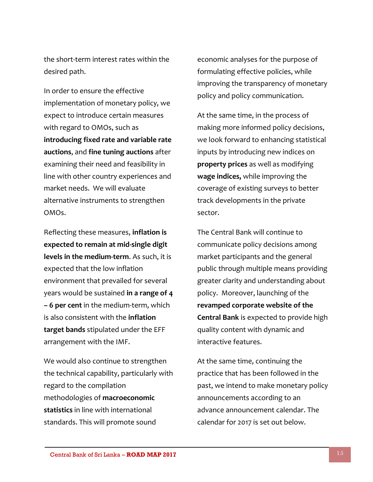the short-term interest rates within the desired path.

In order to ensure the effective implementation of monetary policy, we expect to introduce certain measures with regard to OMOs, such as **introducing fixed rate and variable rate auctions**, and **fine tuning auctions** after examining their need and feasibility in line with other country experiences and market needs. We will evaluate alternative instruments to strengthen OMOs.

Reflecting these measures, **inflation is expected to remain at mid-single digit levels in the medium-term**. As such, it is expected that the low inflation environment that prevailed for several years would be sustained **in a range of 4 – 6 per cent** in the medium-term, which is also consistent with the **inflation target bands** stipulated under the EFF arrangement with the IMF.

We would also continue to strengthen the technical capability, particularly with regard to the compilation methodologies of **macroeconomic statistics** in line with international standards. This will promote sound

economic analyses for the purpose of formulating effective policies, while improving the transparency of monetary policy and policy communication.

At the same time, in the process of making more informed policy decisions, we look forward to enhancing statistical inputs by introducing new indices on **property prices** as well as modifying **wage indices,** while improving the coverage of existing surveys to better track developments in the private sector.

The Central Bank will continue to communicate policy decisions among market participants and the general public through multiple means providing greater clarity and understanding about policy. Moreover, launching of the **revamped corporate website of the Central Bank** is expected to provide high quality content with dynamic and interactive features.

At the same time, continuing the practice that has been followed in the past, we intend to make monetary policy announcements according to an advance announcement calendar. The calendar for 2017 is set out below.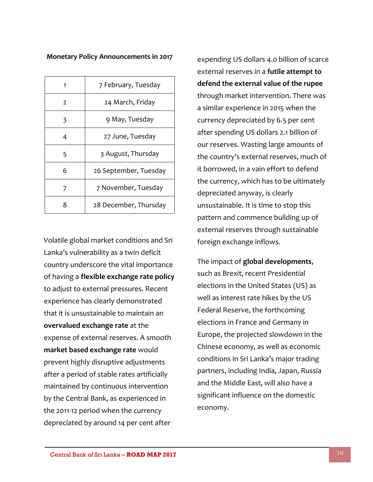#### **Monetary Policy Announcements in 2017**

|               | 7 February, Tuesday   |
|---------------|-----------------------|
| $\mathcal{L}$ | 24 March, Friday      |
| 3             | 9 May, Tuesday        |
| 4             | 27 June, Tuesday      |
| 5             | 3 August, Thursday    |
| 6             | 26 September, Tuesday |
| 7             | 7 November, Tuesday   |
| 8             | 28 December, Thursday |

Volatile global market conditions and Sri Lanka's vulnerability as a twin deficit country underscore the vital importance of having a **flexible exchange rate policy** to adjust to external pressures. Recent experience has clearly demonstrated that it is unsustainable to maintain an **overvalued exchange rate** at the expense of external reserves. A smooth **market based exchange rate** would prevent highly disruptive adjustments after a period of stable rates artificially maintained by continuous intervention by the Central Bank, as experienced in the 2011-12 period when the currency depreciated by around 14 per cent after

expending US dollars 4.0 billion of scarce external reserves in a **futile attempt to defend the external value of the rupee** through market intervention. There was a similar experience in 2015 when the currency depreciated by 6.5 per cent after spending US dollars 2.1 billion of our reserves. Wasting large amounts of the country's external reserves, much of it borrowed, in a vain effort to defend the currency, which has to be ultimately depreciated anyway, is clearly unsustainable. It is time to stop this pattern and commence building up of external reserves through sustainable foreign exchange inflows.

The impact of **global developments**, such as Brexit, recent Presidential elections in the United States (US) as well as interest rate hikes by the US Federal Reserve, the forthcoming elections in France and Germany in Europe, the projected slowdown in the Chinese economy, as well as economic conditions in Sri Lanka's major trading partners, including India, Japan, Russia and the Middle East, will also have a significant influence on the domestic economy.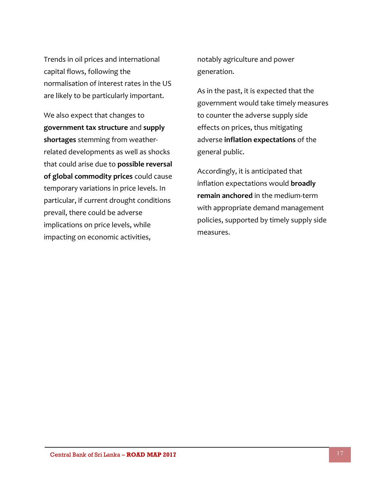Trends in oil prices and international capital flows, following the normalisation of interest rates in the US are likely to be particularly important.

We also expect that changes to **government tax structure** and **supply shortages** stemming from weatherrelated developments as well as shocks that could arise due to **possible reversal of global commodity prices** could cause temporary variations in price levels. In particular, if current drought conditions prevail, there could be adverse implications on price levels, while impacting on economic activities,

notably agriculture and power generation.

As in the past, it is expected that the government would take timely measures to counter the adverse supply side effects on prices, thus mitigating adverse **inflation expectations** of the general public.

Accordingly, it is anticipated that inflation expectations would **broadly remain anchored** in the medium-term with appropriate demand management policies, supported by timely supply side measures.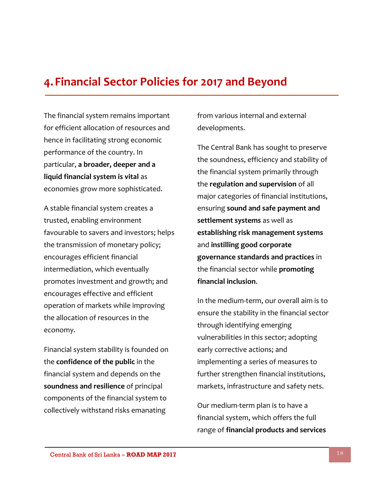## **4.Financial Sector Policies for 2017 and Beyond**

The financial system remains important for efficient allocation of resources and hence in facilitating strong economic performance of the country. In particular, **a broader, deeper and a liquid financial system is vital** as economies grow more sophisticated.

A stable financial system creates a trusted, enabling environment favourable to savers and investors; helps the transmission of monetary policy; encourages efficient financial intermediation, which eventually promotes investment and growth; and encourages effective and efficient operation of markets while improving the allocation of resources in the economy.

Financial system stability is founded on the **confidence of the public** in the financial system and depends on the **soundness and resilience** of principal components of the financial system to collectively withstand risks emanating

from various internal and external developments.

The Central Bank has sought to preserve the soundness, efficiency and stability of the financial system primarily through the **regulation and supervision** of all major categories of financial institutions, ensuring **sound and safe payment and settlement systems** as well as **establishing risk management systems** and **instilling good corporate governance standards and practices** in the financial sector while **promoting financial inclusion**.

In the medium-term, our overall aim is to ensure the stability in the financial sector through identifying emerging vulnerabilities in this sector; adopting early corrective actions; and implementing a series of measures to further strengthen financial institutions, markets, infrastructure and safety nets.

Our medium-term plan is to have a financial system, which offers the full range of **financial products and services**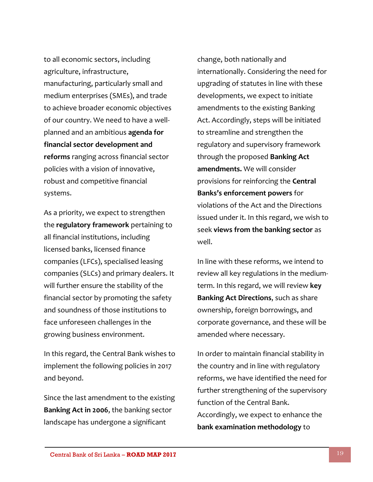to all economic sectors, including agriculture, infrastructure, manufacturing, particularly small and medium enterprises (SMEs), and trade to achieve broader economic objectives of our country. We need to have a wellplanned and an ambitious **agenda for financial sector development and reforms** ranging across financial sector policies with a vision of innovative, robust and competitive financial systems.

As a priority, we expect to strengthen the **regulatory framework** pertaining to all financial institutions, including licensed banks, licensed finance companies (LFCs), specialised leasing companies (SLCs) and primary dealers. It will further ensure the stability of the financial sector by promoting the safety and soundness of those institutions to face unforeseen challenges in the growing business environment.

In this regard, the Central Bank wishes to implement the following policies in 2017 and beyond.

Since the last amendment to the existing **Banking Act in 2006**, the banking sector landscape has undergone a significant

change, both nationally and internationally. Considering the need for upgrading of statutes in line with these developments, we expect to initiate amendments to the existing Banking Act. Accordingly, steps will be initiated to streamline and strengthen the regulatory and supervisory framework through the proposed **Banking Act amendments.** We will consider provisions for reinforcing the **Central Banks's enforcement powers** for violations of the Act and the Directions issued under it. In this regard, we wish to seek **views from the banking sector** as well.

In line with these reforms, we intend to review all key regulations in the mediumterm. In this regard, we will review **key Banking Act Directions**, such as share ownership, foreign borrowings, and corporate governance, and these will be amended where necessary.

In order to maintain financial stability in the country and in line with regulatory reforms, we have identified the need for further strengthening of the supervisory function of the Central Bank. Accordingly, we expect to enhance the **bank examination methodology** to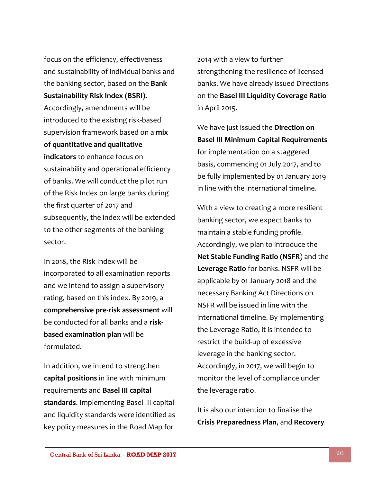focus on the efficiency, effectiveness and sustainability of individual banks and the banking sector, based on the **Bank Sustainability Risk Index (BSRI).** Accordingly, amendments will be introduced to the existing risk-based supervision framework based on a **mix of quantitative and qualitative indicators** to enhance focus on sustainability and operational efficiency of banks. We will conduct the pilot run of the Risk Index on large banks during the first quarter of 2017 and subsequently, the index will be extended to the other segments of the banking sector.

In 2018, the Risk Index will be incorporated to all examination reports and we intend to assign a supervisory rating, based on this index. By 2019, a **comprehensive pre-risk assessment** will be conducted for all banks and a **riskbased examination plan** will be formulated.

In addition, we intend to strengthen **capital positions** in line with minimum requirements and **Basel III capital standards**. Implementing Basel III capital and liquidity standards were identified as key policy measures in the Road Map for

2014 with a view to further strengthening the resilience of licensed banks. We have already issued Directions on the **Basel III Liquidity Coverage Ratio** in April 2015.

We have just issued the **Direction on Basel III Minimum Capital Requirements** for implementation on a staggered basis, commencing 01 July 2017, and to be fully implemented by 01 January 2019 in line with the international timeline.

With a view to creating a more resilient banking sector, we expect banks to maintain a stable funding profile. Accordingly, we plan to introduce the **Net Stable Funding Ratio (NSFR**) and the **Leverage Ratio** for banks. NSFR will be applicable by 01 January 2018 and the necessary Banking Act Directions on NSFR will be issued in line with the international timeline. By implementing the Leverage Ratio, it is intended to restrict the build-up of excessive leverage in the banking sector. Accordingly, in 2017, we will begin to monitor the level of compliance under the leverage ratio.

It is also our intention to finalise the **Crisis Preparedness Plan**, and **Recovery**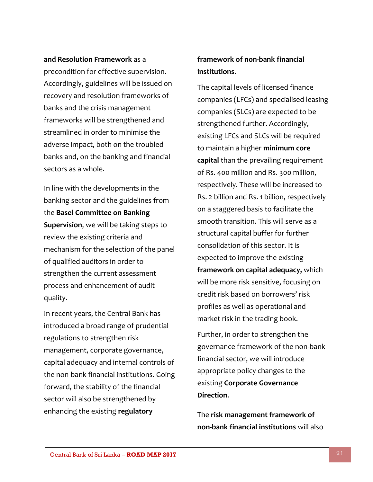**and Resolution Framework** as a precondition for effective supervision. Accordingly, guidelines will be issued on recovery and resolution frameworks of banks and the crisis management frameworks will be strengthened and streamlined in order to minimise the adverse impact, both on the troubled banks and, on the banking and financial sectors as a whole.

In line with the developments in the banking sector and the guidelines from the **Basel Committee on Banking Supervision**, we will be taking steps to review the existing criteria and mechanism for the selection of the panel of qualified auditors in order to strengthen the current assessment process and enhancement of audit quality.

In recent years, the Central Bank has introduced a broad range of prudential regulations to strengthen risk management, corporate governance, capital adequacy and internal controls of the non-bank financial institutions. Going forward, the stability of the financial sector will also be strengthened by enhancing the existing **regulatory** 

#### **framework of non-bank financial institutions**.

The capital levels of licensed finance companies (LFCs) and specialised leasing companies (SLCs) are expected to be strengthened further. Accordingly, existing LFCs and SLCs will be required to maintain a higher **minimum core capital** than the prevailing requirement of Rs. 400 million and Rs. 300 million, respectively. These will be increased to Rs. 2 billion and Rs. 1 billion, respectively on a staggered basis to facilitate the smooth transition. This will serve as a structural capital buffer for further consolidation of this sector. It is expected to improve the existing **framework on capital adequacy,** which will be more risk sensitive, focusing on credit risk based on borrowers' risk profiles as well as operational and market risk in the trading book.

Further, in order to strengthen the governance framework of the non-bank financial sector, we will introduce appropriate policy changes to the existing **Corporate Governance Direction**.

The **risk management framework of non-bank financial institutions** will also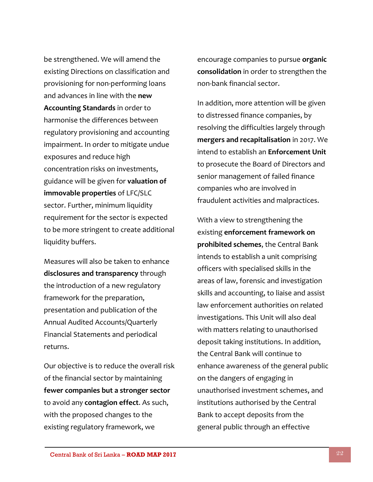be strengthened. We will amend the existing Directions on classification and provisioning for non-performing loans and advances in line with the **new Accounting Standards** in order to harmonise the differences between regulatory provisioning and accounting impairment. In order to mitigate undue exposures and reduce high concentration risks on investments, guidance will be given for **valuation of immovable properties** of LFC/SLC sector. Further, minimum liquidity requirement for the sector is expected to be more stringent to create additional liquidity buffers.

Measures will also be taken to enhance **disclosures and transparency** through the introduction of a new regulatory framework for the preparation, presentation and publication of the Annual Audited Accounts/Quarterly Financial Statements and periodical returns.

Our objective is to reduce the overall risk of the financial sector by maintaining **fewer companies but a stronger sector** to avoid any **contagion effect**. As such, with the proposed changes to the existing regulatory framework, we

encourage companies to pursue **organic consolidation** in order to strengthen the non-bank financial sector.

In addition, more attention will be given to distressed finance companies, by resolving the difficulties largely through **mergers and recapitalisation** in 2017. We intend to establish an **Enforcement Unit** to prosecute the Board of Directors and senior management of failed finance companies who are involved in fraudulent activities and malpractices.

With a view to strengthening the existing **enforcement framework on prohibited schemes**, the Central Bank intends to establish a unit comprising officers with specialised skills in the areas of law, forensic and investigation skills and accounting, to liaise and assist law enforcement authorities on related investigations. This Unit will also deal with matters relating to unauthorised deposit taking institutions. In addition, the Central Bank will continue to enhance awareness of the general public on the dangers of engaging in unauthorised investment schemes, and institutions authorised by the Central Bank to accept deposits from the general public through an effective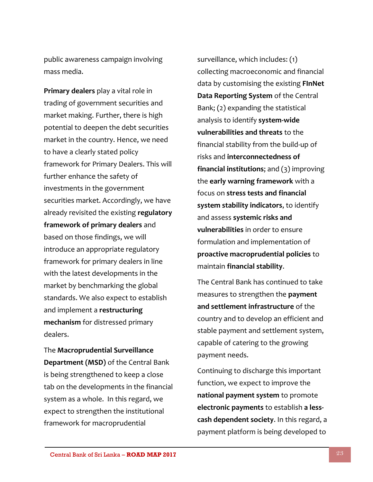public awareness campaign involving mass media.

**Primary dealers** play a vital role in trading of government securities and market making. Further, there is high potential to deepen the debt securities market in the country. Hence, we need to have a clearly stated policy framework for Primary Dealers. This will further enhance the safety of investments in the government securities market. Accordingly, we have already revisited the existing **regulatory framework of primary dealers** and based on those findings, we will introduce an appropriate regulatory framework for primary dealers in line with the latest developments in the market by benchmarking the global standards. We also expect to establish and implement a **restructuring mechanism** for distressed primary dealers.

The **Macroprudential Surveillance Department (MSD)** of the Central Bank is being strengthened to keep a close tab on the developments in the financial system as a whole. In this regard, we expect to strengthen the institutional framework for macroprudential

surveillance, which includes: (1) collecting macroeconomic and financial data by customising the existing **FInNet Data Reporting System** of the Central Bank; (2) expanding the statistical analysis to identify **system-wide vulnerabilities and threats** to the financial stability from the build-up of risks and **interconnectedness of financial institutions**; and (3) improving the **early warning framework** with a focus on **stress tests and financial system stability indicators**, to identify and assess **systemic risks and vulnerabilities** in order to ensure formulation and implementation of **proactive macroprudential policies** to maintain **financial stability**.

The Central Bank has continued to take measures to strengthen the **payment and settlement infrastructure** of the country and to develop an efficient and stable payment and settlement system, capable of catering to the growing payment needs.

Continuing to discharge this important function, we expect to improve the **national payment system** to promote **electronic payments** to establish **a lesscash dependent society**. In this regard, a payment platform is being developed to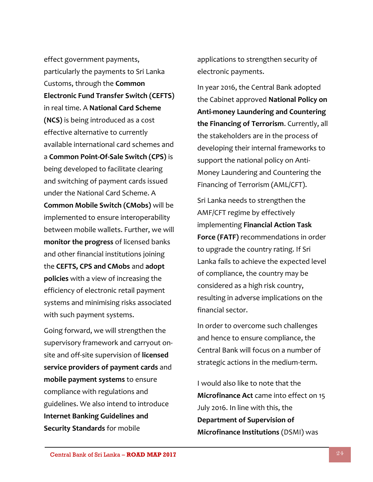effect government payments, particularly the payments to Sri Lanka Customs, through the **Common Electronic Fund Transfer Switch (CEFTS)** in real time. A **National Card Scheme (NCS)** is being introduced as a cost effective alternative to currently available international card schemes and a **Common Point-Of-Sale Switch (CPS)** is being developed to facilitate clearing and switching of payment cards issued under the National Card Scheme. A **Common Mobile Switch (CMobs)** will be implemented to ensure interoperability between mobile wallets. Further, we will **monitor the progress** of licensed banks and other financial institutions joining the **CEFTS, CPS and CMobs** and **adopt policies** with a view of increasing the efficiency of electronic retail payment systems and minimising risks associated with such payment systems.

Going forward, we will strengthen the supervisory framework and carryout onsite and off-site supervision of **licensed service providers of payment cards** and **mobile payment systems** to ensure compliance with regulations and guidelines. We also intend to introduce **Internet Banking Guidelines and Security Standards** for mobile

applications to strengthen security of electronic payments.

In year 2016, the Central Bank adopted the Cabinet approved **National Policy on Anti-money Laundering and Countering the Financing of Terrorism**. Currently, all the stakeholders are in the process of developing their internal frameworks to support the national policy on Anti-Money Laundering and Countering the Financing of Terrorism (AML/CFT).

Sri Lanka needs to strengthen the AMF/CFT regime by effectively implementing **Financial Action Task Force (FATF)** recommendations in order to upgrade the country rating. If Sri Lanka fails to achieve the expected level of compliance, the country may be considered as a high risk country, resulting in adverse implications on the financial sector.

In order to overcome such challenges and hence to ensure compliance, the Central Bank will focus on a number of strategic actions in the medium-term.

I would also like to note that the **Microfinance Act** came into effect on 15 July 2016. In line with this, the **Department of Supervision of Microfinance Institutions** (DSMI) was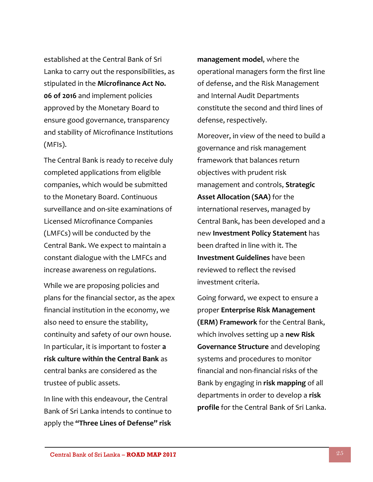established at the Central Bank of Sri Lanka to carry out the responsibilities, as stipulated in the **Microfinance Act No. 06 of 2016** and implement policies approved by the Monetary Board to ensure good governance, transparency and stability of Microfinance Institutions (MFIs).

The Central Bank is ready to receive duly completed applications from eligible companies, which would be submitted to the Monetary Board. Continuous surveillance and on-site examinations of Licensed Microfinance Companies (LMFCs) will be conducted by the Central Bank. We expect to maintain a constant dialogue with the LMFCs and increase awareness on regulations.

While we are proposing policies and plans for the financial sector, as the apex financial institution in the economy, we also need to ensure the stability, continuity and safety of our own house. In particular, it is important to foster **a risk culture within the Central Bank** as central banks are considered as the trustee of public assets.

In line with this endeavour, the Central Bank of Sri Lanka intends to continue to apply the **"Three Lines of Defense" risk** 

**management model**, where the operational managers form the first line of defense, and the Risk Management and Internal Audit Departments constitute the second and third lines of defense, respectively.

Moreover, in view of the need to build a governance and risk management framework that balances return objectives with prudent risk management and controls, **Strategic Asset Allocation (SAA)** for the international reserves, managed by Central Bank, has been developed and a new **Investment Policy Statement** has been drafted in line with it. The **Investment Guidelines** have been reviewed to reflect the revised investment criteria.

Going forward, we expect to ensure a proper **Enterprise Risk Management (ERM) Framework** for the Central Bank, which involves setting up a **new Risk Governance Structure** and developing systems and procedures to monitor financial and non-financial risks of the Bank by engaging in **risk mapping** of all departments in order to develop a **risk profile** for the Central Bank of Sri Lanka.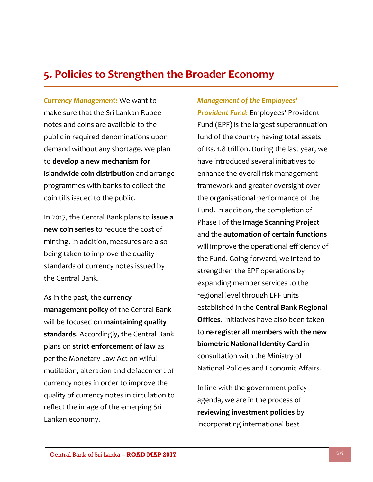#### **5. Policies to Strengthen the Broader Economy**

*Currency Management:* We want to make sure that the Sri Lankan Rupee notes and coins are available to the public in required denominations upon demand without any shortage. We plan to **develop a new mechanism for islandwide coin distribution** and arrange programmes with banks to collect the coin tills issued to the public.

In 2017, the Central Bank plans to **issue a new coin series** to reduce the cost of minting. In addition, measures are also being taken to improve the quality standards of currency notes issued by the Central Bank.

As in the past, the **currency management policy** of the Central Bank will be focused on **maintaining quality standards**. Accordingly, the Central Bank plans on **strict enforcement of law** as per the Monetary Law Act on wilful mutilation, alteration and defacement of currency notes in order to improve the quality of currency notes in circulation to reflect the image of the emerging Sri Lankan economy.

#### *Management of the Employees'*

*Provident Fund:* Employees' Provident Fund (EPF) is the largest superannuation fund of the country having total assets of Rs. 1.8 trillion. During the last year, we have introduced several initiatives to enhance the overall risk management framework and greater oversight over the organisational performance of the Fund. In addition, the completion of Phase I of the **Image Scanning Project** and the **automation of certain functions**  will improve the operational efficiency of the Fund. Going forward, we intend to strengthen the EPF operations by expanding member services to the regional level through EPF units established in the **Central Bank Regional Offices**. Initiatives have also been taken to **re-register all members with the new biometric National Identity Card** in consultation with the Ministry of National Policies and Economic Affairs.

In line with the government policy agenda, we are in the process of **reviewing investment policies** by incorporating international best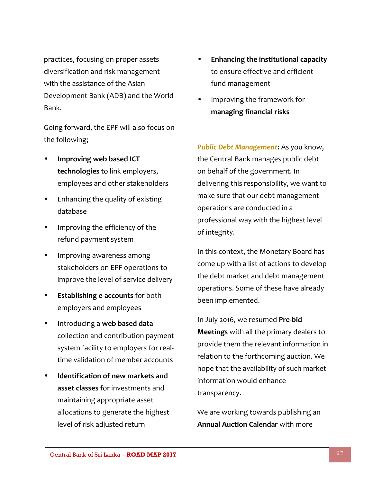practices, focusing on proper assets diversification and risk management with the assistance of the Asian Development Bank (ADB) and the World Bank.

Going forward, the EPF will also focus on the following;

- **Improving web based ICT technologies** to link employers, employees and other stakeholders
- Enhancing the quality of existing database
- Improving the efficiency of the refund payment system
- Improving awareness among stakeholders on EPF operations to improve the level of service delivery
- **Establishing e-accounts** for both employers and employees
- Introducing a **web based data** collection and contribution payment system facility to employers for realtime validation of member accounts
- **Identification of new markets and asset classes** for investments and maintaining appropriate asset allocations to generate the highest level of risk adjusted return
- **Enhancing the institutional capacity** to ensure effective and efficient fund management
- Improving the framework for **managing financial risks**

*Public Debt Management:* As you know, the Central Bank manages public debt on behalf of the government. In delivering this responsibility, we want to make sure that our debt management operations are conducted in a professional way with the highest level of integrity.

In this context, the Monetary Board has come up with a list of actions to develop the debt market and debt management operations. Some of these have already been implemented.

In July 2016, we resumed **Pre-bid Meetings** with all the primary dealers to provide them the relevant information in relation to the forthcoming auction. We hope that the availability of such market information would enhance transparency.

We are working towards publishing an **Annual Auction Calendar** with more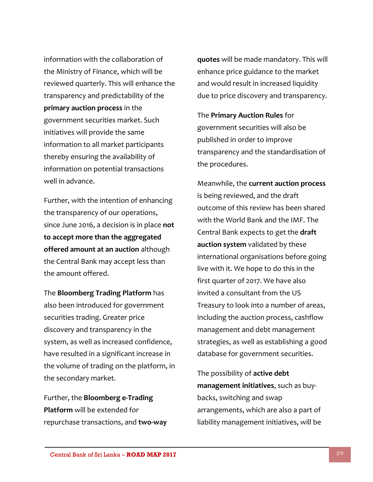information with the collaboration of the Ministry of Finance, which will be reviewed quarterly. This will enhance the transparency and predictability of the **primary auction process** in the government securities market. Such initiatives will provide the same information to all market participants thereby ensuring the availability of information on potential transactions well in advance.

Further, with the intention of enhancing the transparency of our operations, since June 2016, a decision is in place **not to accept more than the aggregated offered amount at an auction** although the Central Bank may accept less than the amount offered.

The **Bloomberg Trading Platform** has also been introduced for government securities trading. Greater price discovery and transparency in the system, as well as increased confidence, have resulted in a significant increase in the volume of trading on the platform, in the secondary market.

Further, the **Bloomberg e-Trading Platform** will be extended for repurchase transactions, and **two-way**  **quotes** will be made mandatory. This will enhance price guidance to the market and would result in increased liquidity due to price discovery and transparency.

The **Primary Auction Rules** for government securities will also be published in order to improve transparency and the standardisation of the procedures.

Meanwhile, the **current auction process**  is being reviewed, and the draft outcome of this review has been shared with the World Bank and the IMF. The Central Bank expects to get the **draft auction system** validated by these international organisations before going live with it. We hope to do this in the first quarter of 2017. We have also invited a consultant from the US Treasury to look into a number of areas, including the auction process, cashflow management and debt management strategies, as well as establishing a good database for government securities.

The possibility of **active debt management initiatives**, such as buybacks, switching and swap arrangements, which are also a part of liability management initiatives, will be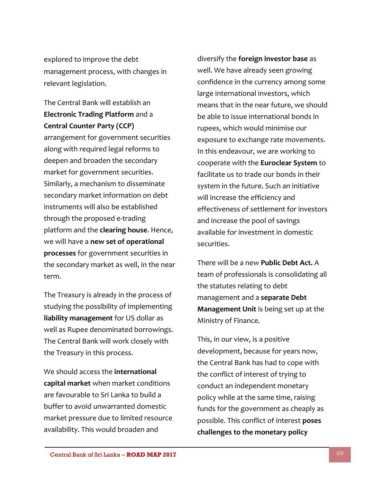explored to improve the debt management process, with changes in relevant legislation.

#### The Central Bank will establish an **Electronic Trading Platform** and a **Central Counter Party (CCP)**

arrangement for government securities along with required legal reforms to deepen and broaden the secondary market for government securities. Similarly, a mechanism to disseminate secondary market information on debt instruments will also be established through the proposed e-trading platform and the **clearing house**. Hence, we will have a **new set of operational processes** for government securities in the secondary market as well, in the near term.

The Treasury is already in the process of studying the possibility of implementing **liability management** for US dollar as well as Rupee denominated borrowings. The Central Bank will work closely with the Treasury in this process.

We should access the **international capital market** when market conditions are favourable to Sri Lanka to build a buffer to avoid unwarranted domestic market pressure due to limited resource availability. This would broaden and

diversify the **foreign investor base** as well. We have already seen growing confidence in the currency among some large international investors, which means that in the near future, we should be able to issue international bonds in rupees, which would minimise our exposure to exchange rate movements. In this endeavour, we are working to cooperate with the **Euroclear System** to facilitate us to trade our bonds in their system in the future. Such an initiative will increase the efficiency and effectiveness of settlement for investors and increase the pool of savings available for investment in domestic securities.

There will be a new **Public Debt Act.** A team of professionals is consolidating all the statutes relating to debt management and a **separate Debt Management Unit** is being set up at the Ministry of Finance.

This, in our view, is a positive development, because for years now, the Central Bank has had to cope with the conflict of interest of trying to conduct an independent monetary policy while at the same time, raising funds for the government as cheaply as possible. This conflict of interest **poses challenges to the monetary policy**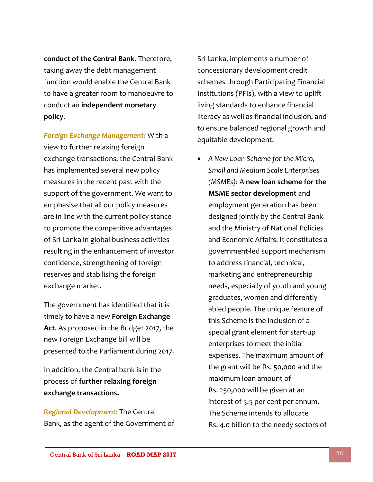**conduct of the Central Bank**. Therefore, taking away the debt management function would enable the Central Bank to have a greater room to manoeuvre to conduct an **independent monetary policy**.

*Foreign Exchange Management:* With a view to further relaxing foreign exchange transactions, the Central Bank has implemented several new policy measures in the recent past with the support of the government. We want to emphasise that all our policy measures are in line with the current policy stance to promote the competitive advantages of Sri Lanka in global business activities resulting in the enhancement of investor confidence, strengthening of foreign reserves and stabilising the foreign exchange market.

The government has identified that it is timely to have a new **Foreign Exchange Act**. As proposed in the Budget 2017, the new Foreign Exchange bill will be presented to the Parliament during 2017.

In addition, the Central bank is in the process of **further relaxing foreign exchange transactions.**

*Regional Development:* The Central Bank, as the agent of the Government of Sri Lanka, implements a number of concessionary development credit schemes through Participating Financial Institutions (PFIs), with a view to uplift living standards to enhance financial literacy as well as financial inclusion, and to ensure balanced regional growth and equitable development.

 *A New Loan Scheme for the Micro, Small and Medium Scale Enterprises (MSMEs):* A **new loan scheme for the MSME sector development** and employment generation has been designed jointly by the Central Bank and the Ministry of National Policies and Economic Affairs. It constitutes a government-led support mechanism to address financial, technical, marketing and entrepreneurship needs, especially of youth and young graduates, women and differently abled people. The unique feature of this Scheme is the inclusion of a special grant element for start-up enterprises to meet the initial expenses. The maximum amount of the grant will be Rs. 50,000 and the maximum loan amount of Rs. 250,000 will be given at an interest of 5.5 per cent per annum. The Scheme intends to allocate Rs. 4.0 billion to the needy sectors of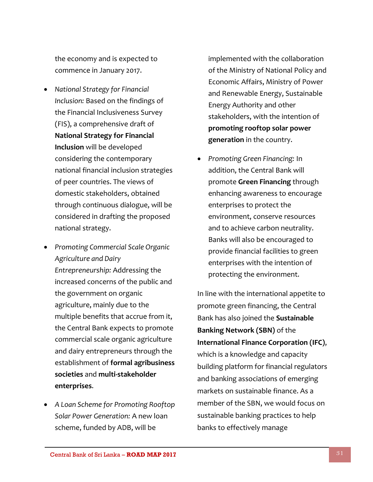the economy and is expected to commence in January 2017.

- *National Strategy for Financial Inclusion:* Based on the findings of the Financial Inclusiveness Survey (FIS), a comprehensive draft of **National Strategy for Financial Inclusion** will be developed considering the contemporary national financial inclusion strategies of peer countries. The views of domestic stakeholders, obtained through continuous dialogue, will be considered in drafting the proposed national strategy.
- *Promoting Commercial Scale Organic Agriculture and Dairy Entrepreneurship:* Addressing the increased concerns of the public and the government on organic agriculture, mainly due to the multiple benefits that accrue from it, the Central Bank expects to promote commercial scale organic agriculture and dairy entrepreneurs through the establishment of **formal agribusiness societies** and **multi-stakeholder enterprises**.
- *A Loan Scheme for Promoting Rooftop Solar Power Generation:* A new loan scheme, funded by ADB, will be

implemented with the collaboration of the Ministry of National Policy and Economic Affairs, Ministry of Power and Renewable Energy, Sustainable Energy Authority and other stakeholders, with the intention of **promoting rooftop solar power generation** in the country.

 *Promoting Green Financing:* In addition, the Central Bank will promote **Green Financing** through enhancing awareness to encourage enterprises to protect the environment, conserve resources and to achieve carbon neutrality. Banks will also be encouraged to provide financial facilities to green enterprises with the intention of protecting the environment.

In line with the international appetite to promote green financing, the Central Bank has also joined the **Sustainable Banking Network (SBN)** of the **International Finance Corporation (IFC)**, which is a knowledge and capacity building platform for financial regulators and banking associations of emerging markets on sustainable finance. As a member of the SBN, we would focus on sustainable banking practices to help banks to effectively manage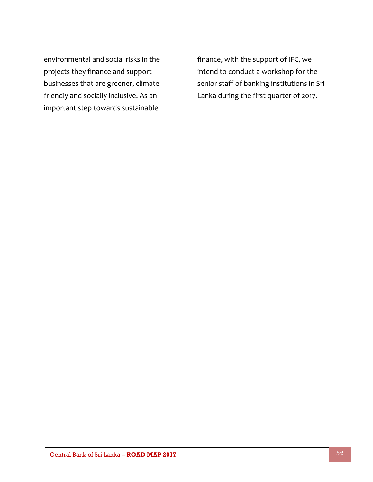environmental and social risks in the projects they finance and support businesses that are greener, climate friendly and socially inclusive. As an important step towards sustainable

finance, with the support of IFC, we intend to conduct a workshop for the senior staff of banking institutions in Sri Lanka during the first quarter of 2017.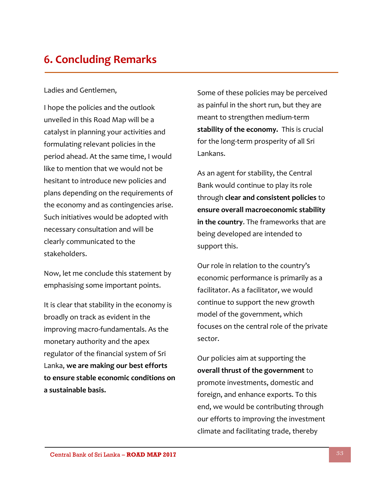## **6. Concluding Remarks**

#### Ladies and Gentlemen,

I hope the policies and the outlook unveiled in this Road Map will be a catalyst in planning your activities and formulating relevant policies in the period ahead. At the same time, I would like to mention that we would not be hesitant to introduce new policies and plans depending on the requirements of the economy and as contingencies arise. Such initiatives would be adopted with necessary consultation and will be clearly communicated to the stakeholders.

Now, let me conclude this statement by emphasising some important points.

It is clear that stability in the economy is broadly on track as evident in the improving macro-fundamentals. As the monetary authority and the apex regulator of the financial system of Sri Lanka, **we are making our best efforts to ensure stable economic conditions on a sustainable basis.**

Some of these policies may be perceived as painful in the short run, but they are meant to strengthen medium-term **stability of the economy.** This is crucial for the long-term prosperity of all Sri Lankans.

As an agent for stability, the Central Bank would continue to play its role through **clear and consistent policies** to **ensure overall macroeconomic stability in the country**. The frameworks that are being developed are intended to support this.

Our role in relation to the country's economic performance is primarily as a facilitator. As a facilitator, we would continue to support the new growth model of the government, which focuses on the central role of the private sector.

Our policies aim at supporting the **overall thrust of the government** to promote investments, domestic and foreign, and enhance exports. To this end, we would be contributing through our efforts to improving the investment climate and facilitating trade, thereby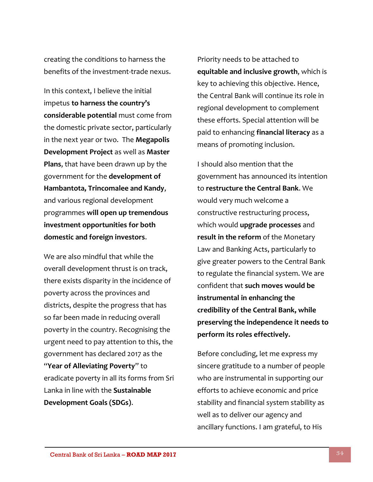creating the conditions to harness the benefits of the investment-trade nexus.

In this context, I believe the initial impetus **to harness the country's considerable potential** must come from the domestic private sector, particularly in the next year or two. The **Megapolis Development Project** as well as **Master Plans**, that have been drawn up by the government for the **development of Hambantota, Trincomalee and Kandy**, and various regional development programmes **will open up tremendous investment opportunities for both domestic and foreign investors**.

We are also mindful that while the overall development thrust is on track, there exists disparity in the incidence of poverty across the provinces and districts, despite the progress that has so far been made in reducing overall poverty in the country. Recognising the urgent need to pay attention to this, the government has declared 2017 as the "**Year of Alleviating Poverty**" to eradicate poverty in all its forms from Sri Lanka in line with the **Sustainable Development Goals (SDGs)**.

Priority needs to be attached to **equitable and inclusive growth**, which is key to achieving this objective. Hence, the Central Bank will continue its role in regional development to complement these efforts. Special attention will be paid to enhancing **financial literacy** as a means of promoting inclusion.

I should also mention that the government has announced its intention to **restructure the Central Bank**. We would very much welcome a constructive restructuring process, which would **upgrade processes** and **result in the reform** of the Monetary Law and Banking Acts, particularly to give greater powers to the Central Bank to regulate the financial system. We are confident that **such moves would be instrumental in enhancing the credibility of the Central Bank, while preserving the independence it needs to perform its roles effectively.** 

Before concluding, let me express my sincere gratitude to a number of people who are instrumental in supporting our efforts to achieve economic and price stability and financial system stability as well as to deliver our agency and ancillary functions. I am grateful, to His